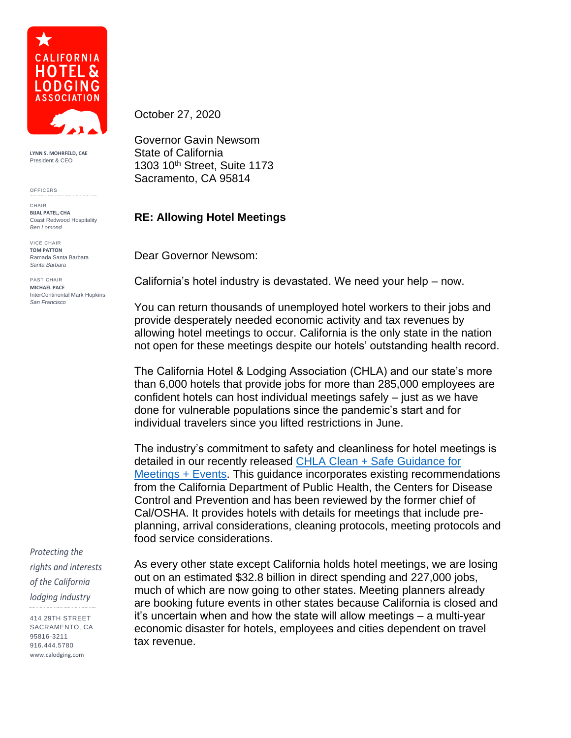

**LYNN S. MOHRFELD, CAE** President & CEO

OFFICERS

CHAIR **BIJAL PATEL, CHA** Coast Redwood Hospitality *Ben Lomond*

VICE CHAIR **TOM PATTON** Ramada Santa Barbara *Santa Barbara*

PAST CHAIR **MICHAEL PACE** InterContinental Mark Hopkins *San Francisco*

*Protecting the rights and interests of the California lodging industry*

414 29TH STREET SACRAMENTO, CA 95816-3211 916.444.5780 www.calodging.com

October 27, 2020

Governor Gavin Newsom State of California 1303 10th Street, Suite 1173 Sacramento, CA 95814

## **RE: Allowing Hotel Meetings**

Dear Governor Newsom:

California's hotel industry is devastated. We need your help – now.

You can return thousands of unemployed hotel workers to their jobs and provide desperately needed economic activity and tax revenues by allowing hotel meetings to occur. California is the only state in the nation not open for these meetings despite our hotels' outstanding health record.

The California Hotel & Lodging Association (CHLA) and our state's more than 6,000 hotels that provide jobs for more than 285,000 employees are confident hotels can host individual meetings safely – just as we have done for vulnerable populations since the pandemic's start and for individual travelers since you lifted restrictions in June.

The industry's commitment to safety and cleanliness for hotel meetings is detailed in our recently released [CHLA Clean + Safe Guidance for](https://calodging.com/sites/default/files/inline-documents/covid-19/CHLA-Meeting-Guidance-10-20.pdf)  [Meetings + Events.](https://calodging.com/sites/default/files/inline-documents/covid-19/CHLA-Meeting-Guidance-10-20.pdf) This guidance incorporates existing recommendations from the California Department of Public Health, the Centers for Disease Control and Prevention and has been reviewed by the former chief of Cal/OSHA. It provides hotels with details for meetings that include preplanning, arrival considerations, cleaning protocols, meeting protocols and food service considerations.

As every other state except California holds hotel meetings, we are losing out on an estimated \$32.8 billion in direct spending and 227,000 jobs, much of which are now going to other states. Meeting planners already are booking future events in other states because California is closed and it's uncertain when and how the state will allow meetings – a multi-year economic disaster for hotels, employees and cities dependent on travel tax revenue.